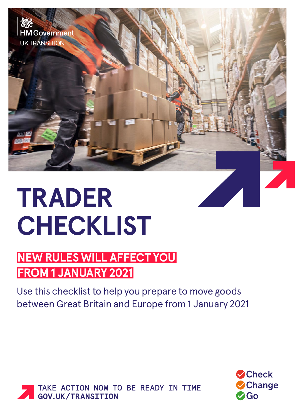

## **TRADER CHECKLIST**

## **NEW RULES WILL AFFECT YOU FROM 1 JANUARY 2021**

Use this checklist to help you prepare to move goods between Great Britain and Europe from 1 January 2021



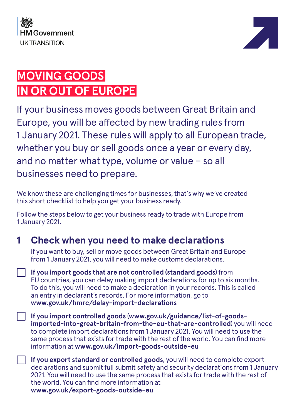



## **MOVING GOODS IN OR OUT OF EUROPE**

If your business moves goods between Great Britain and Europe, you will be affected by new trading rules from 1 January 2021. These rules will apply to all European trade, whether you buy or sell goods once a year or every day, and no matter what type, volume or value – so all businesses need to prepare.

We know these are challenging times for businesses, that's why we've created this short checklist to help you get your business ready.

Follow the steps below to get your business ready to trade with Europe from 1 January 2021.

## **1 Check when you need to make declarations**

If you want to buy, sell or move goods between Great Britain and Europe from 1 January 2021, you will need to make customs declarations.

**If you import goods that are not controlled (standard goods)** from EU countries, you can delay making import declarations for up to six months. To do this, you will need to make a declaration in your records. This is called an entry in declarant's records. For more information, go to **[www.gov.uk/hmrc/delay-import-declarations](http://www.gov.uk/hmrc/delay-import-declarations)** 

**If you import controlled goods** (**[www.gov.uk/guidance/list-of-goods](https://www.gov.uk/guidance/list-of-goods-imported-into-great-britain-from-the-eu-that-are-controlled)[imported-into-great-britain-from-the-eu-that-are-controlled](https://www.gov.uk/guidance/list-of-goods-imported-into-great-britain-from-the-eu-that-are-controlled)**) you will need to complete import declarations from 1 January 2021. You will need to use the same process that exists for trade with the rest of the world. You can find more information at **[www.gov.uk/import-goods-outside-eu](http://www.gov.uk/import-goods-outside-eu)**

**If you export standard or controlled goods**, you will need to complete export declarations and submit full submit safety and security declarations from 1 January 2021. You will need to use the same process that exists for trade with the rest of the world. You can find more information at **www.gov.uk/export-goods-outside-eu**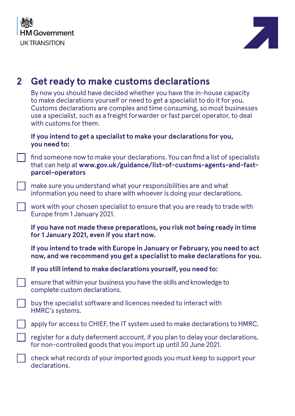



| $\mathbf{2}$ | Get ready to make customs declarations                                                                                                                                                                                                                                                                                                      |
|--------------|---------------------------------------------------------------------------------------------------------------------------------------------------------------------------------------------------------------------------------------------------------------------------------------------------------------------------------------------|
|              | By now you should have decided whether you have the in-house capacity<br>to make declarations yourself or need to get a specialist to do it for you.<br>Customs declarations are complex and time consuming, so most businesses<br>use a specialist, such as a freight forwarder or fast parcel operator, to deal<br>with customs for them. |
|              | If you intend to get a specialist to make your declarations for you,<br>you need to:                                                                                                                                                                                                                                                        |
|              | find someone now to make your declarations. You can find a list of specialists<br>that can help at www.gov.uk/guidance/list-of-customs-agents-and-fast-<br>parcel-operators                                                                                                                                                                 |
|              | make sure you understand what your responsibilities are and what<br>information you need to share with whoever is doing your declarations.                                                                                                                                                                                                  |
|              | work with your chosen specialist to ensure that you are ready to trade with<br>Europe from 1 January 2021.                                                                                                                                                                                                                                  |
|              | If you have not made these preparations, you risk not being ready in time                                                                                                                                                                                                                                                                   |
|              | for 1 January 2021, even if you start now.                                                                                                                                                                                                                                                                                                  |
|              | If you intend to trade with Europe in January or February, you need to act<br>now, and we recommend you get a specialist to make declarations for you.                                                                                                                                                                                      |
|              | If you still intend to make declarations yourself, you need to:                                                                                                                                                                                                                                                                             |
|              | ensure that within your business you have the skills and knowledge to<br>complete custom declarations.                                                                                                                                                                                                                                      |
|              | buy the specialist software and licences needed to interact with<br>HMRC's systems.                                                                                                                                                                                                                                                         |
|              | apply for access to CHIEF, the IT system used to make declarations to HMRC.                                                                                                                                                                                                                                                                 |
|              | register for a duty deferment account, if you plan to delay your declarations,<br>for non-controlled goods that you import up until 30 June 2021.                                                                                                                                                                                           |